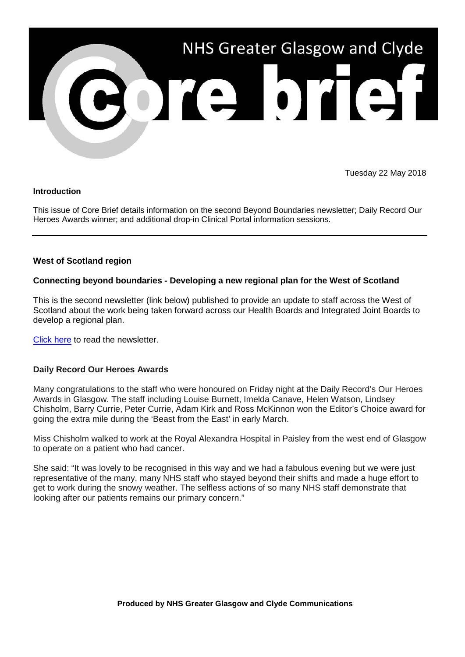

Tuesday 22 May 2018

### **Introduction**

This issue of Core Brief details information on the second Beyond Boundaries newsletter; Daily Record Our Heroes Awards winner; and additional drop-in Clinical Portal information sessions.

## **West of Scotland region**

## **Connecting beyond boundaries - Developing a new regional plan for the West of Scotland**

This is the second newsletter (link below) published to provide an update to staff across the West of Scotland about the work being taken forward across our Health Boards and Integrated Joint Boards to develop a regional plan.

[Click here](http://movingforwardtogetherggc.org/media/248034/mft_newsletter_2018-02_beyond_boundaries.pdf?utm_source=Core%20Brief&utm_medium=email&utm_campaign=beyond_boundaries_issue2) to read the newsletter.

### **Daily Record Our Heroes Awards**

Many congratulations to the staff who were honoured on Friday night at the Daily Record's Our Heroes Awards in Glasgow. The staff including Louise Burnett, Imelda Canave, Helen Watson, Lindsey Chisholm, Barry Currie, Peter Currie, Adam Kirk and Ross McKinnon won the Editor's Choice award for going the extra mile during the 'Beast from the East' in early March.

Miss Chisholm walked to work at the Royal Alexandra Hospital in Paisley from the west end of Glasgow to operate on a patient who had cancer.

She said: "It was lovely to be recognised in this way and we had a fabulous evening but we were just representative of the many, many NHS staff who stayed beyond their shifts and made a huge effort to get to work during the snowy weather. The selfless actions of so many NHS staff demonstrate that looking after our patients remains our primary concern."